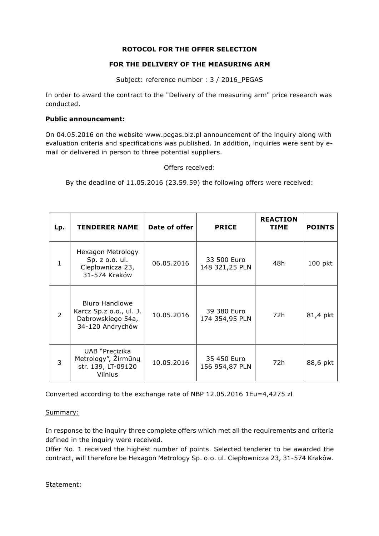## **ROTOCOL FOR THE OFFER SELECTION**

## **FOR THE DELIVERY OF THE MEASURING ARM**

Subject: reference number : 3 / 2016\_PEGAS

In order to award the contract to the "Delivery of the measuring arm" price research was conducted.

## **Public announcement:**

On 04.05.2016 on the website www.pegas.biz.pl announcement of the inquiry along with evaluation criteria and specifications was published. In addition, inquiries were sent by email or delivered in person to three potential suppliers.

Offers received:

By the deadline of 11.05.2016 (23.59.59) the following offers were received:

| Lp.          | <b>TENDERER NAME</b>                                                               | Date of offer | <b>PRICE</b>                  | <b>REACTION</b><br><b>TIME</b> | <b>POINTS</b> |
|--------------|------------------------------------------------------------------------------------|---------------|-------------------------------|--------------------------------|---------------|
| $\mathbf{1}$ | Hexagon Metrology<br>Sp. z. o. o. ul.<br>Ciepłownicza 23,<br>31-574 Kraków         | 06.05.2016    | 33 500 Euro<br>148 321,25 PLN | 48h                            | 100 pkt       |
| 2            | Biuro Handlowe<br>Karcz Sp.z o.o., ul. J.<br>Dabrowskiego 54a,<br>34-120 Andrychów | 10.05.2016    | 39 380 Euro<br>174 354,95 PLN | 72h                            | 81,4 pkt      |
| 3            | UAB "Precizika<br>Metrology", Zirmūnų<br>str. 139, LT-09120<br>Vilnius             | 10.05.2016    | 35 450 Euro<br>156 954,87 PLN | 72h                            | 88,6 pkt      |

Converted according to the exchange rate of NBP 12.05.2016 1Eu=4,4275 zl

## Summary:

In response to the inquiry three complete offers which met all the requirements and criteria defined in the inquiry were received.

Offer No. 1 received the highest number of points. Selected tenderer to be awarded the contract, will therefore be Hexagon Metrology Sp. o.o. ul. Ciepłownicza 23, 31-574 Kraków.

Statement: